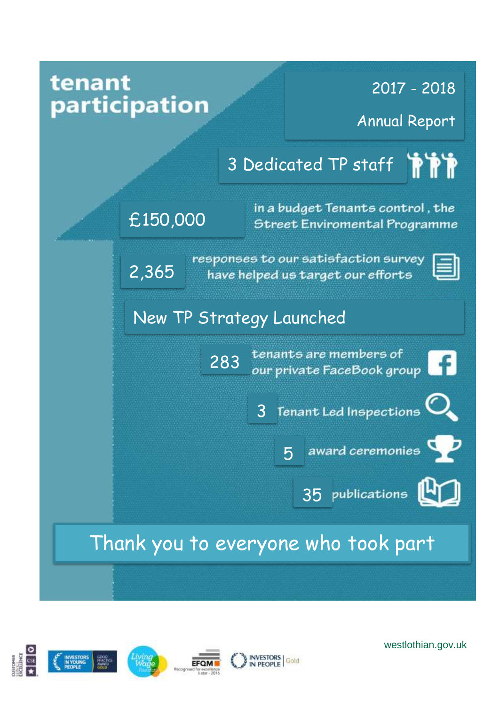



westlothian.gov.uk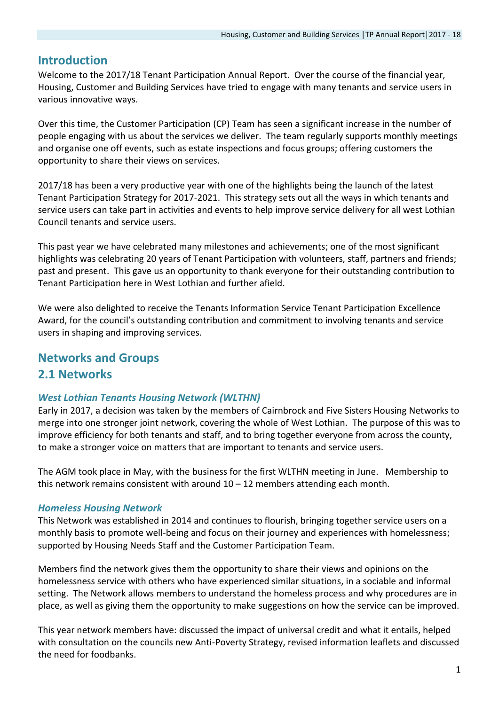## **Introduction**

Welcome to the 2017/18 Tenant Participation Annual Report. Over the course of the financial year, Housing, Customer and Building Services have tried to engage with many tenants and service users in various innovative ways.

Over this time, the Customer Participation (CP) Team has seen a significant increase in the number of people engaging with us about the services we deliver. The team regularly supports monthly meetings and organise one off events, such as estate inspections and focus groups; offering customers the opportunity to share their views on services.

2017/18 has been a very productive year with one of the highlights being the launch of the latest Tenant Participation Strategy for 2017-2021. This strategy sets out all the ways in which tenants and service users can take part in activities and events to help improve service delivery for all west Lothian Council tenants and service users.

This past year we have celebrated many milestones and achievements; one of the most significant highlights was celebrating 20 years of Tenant Participation with volunteers, staff, partners and friends; past and present. This gave us an opportunity to thank everyone for their outstanding contribution to Tenant Participation here in West Lothian and further afield.

We were also delighted to receive the Tenants Information Service Tenant Participation Excellence Award, for the council's outstanding contribution and commitment to involving tenants and service users in shaping and improving services.

# **Networks and Groups**

## **2.1 Networks**

## *West Lothian Tenants Housing Network (WLTHN)*

Early in 2017, a decision was taken by the members of Cairnbrock and Five Sisters Housing Networks to merge into one stronger joint network, covering the whole of West Lothian. The purpose of this was to improve efficiency for both tenants and staff, and to bring together everyone from across the county, to make a stronger voice on matters that are important to tenants and service users.

The AGM took place in May, with the business for the first WLTHN meeting in June. Membership to this network remains consistent with around  $10 - 12$  members attending each month.

## *Homeless Housing Network*

This Network was established in 2014 and continues to flourish, bringing together service users on a monthly basis to promote well-being and focus on their journey and experiences with homelessness; supported by Housing Needs Staff and the Customer Participation Team.

Members find the network gives them the opportunity to share their views and opinions on the homelessness service with others who have experienced similar situations, in a sociable and informal setting. The Network allows members to understand the homeless process and why procedures are in place, as well as giving them the opportunity to make suggestions on how the service can be improved.

This year network members have: discussed the impact of universal credit and what it entails, helped with consultation on the councils new Anti-Poverty Strategy, revised information leaflets and discussed the need for foodbanks.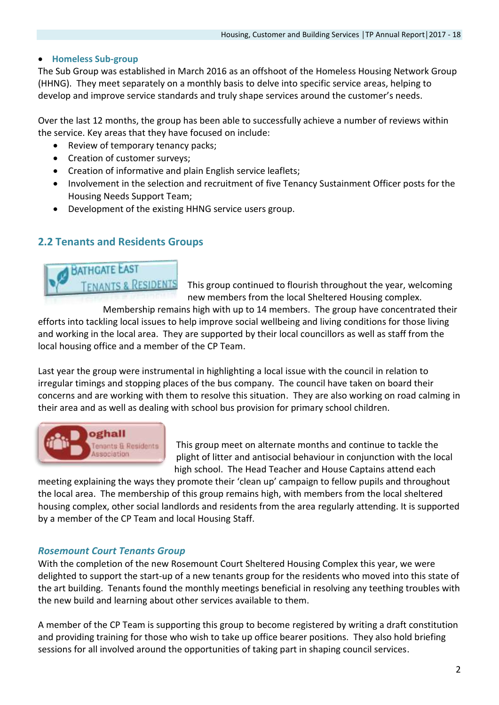#### **Homeless Sub-group**

The Sub Group was established in March 2016 as an offshoot of the Homeless Housing Network Group (HHNG). They meet separately on a monthly basis to delve into specific service areas, helping to develop and improve service standards and truly shape services around the customer's needs.

Over the last 12 months, the group has been able to successfully achieve a number of reviews within the service. Key areas that they have focused on include:

- Review of temporary tenancy packs;
- Creation of customer surveys;
- Creation of informative and plain English service leaflets;
- Involvement in the selection and recruitment of five Tenancy Sustainment Officer posts for the Housing Needs Support Team;
- Development of the existing HHNG service users group.

## **2.2 Tenants and Residents Groups**



This group continued to flourish throughout the year, welcoming new members from the local Sheltered Housing complex.

Membership remains high with up to 14 members. The group have concentrated their efforts into tackling local issues to help improve social wellbeing and living conditions for those living and working in the local area. They are supported by their local councillors as well as staff from the local housing office and a member of the CP Team.

Last year the group were instrumental in highlighting a local issue with the council in relation to irregular timings and stopping places of the bus company. The council have taken on board their concerns and are working with them to resolve this situation. They are also working on road calming in their area and as well as dealing with school bus provision for primary school children.



This group meet on alternate months and continue to tackle the plight of litter and antisocial behaviour in conjunction with the local high school. The Head Teacher and House Captains attend each

meeting explaining the ways they promote their 'clean up' campaign to fellow pupils and throughout the local area. The membership of this group remains high, with members from the local sheltered housing complex, other social landlords and residents from the area regularly attending. It is supported by a member of the CP Team and local Housing Staff.

#### *Rosemount Court Tenants Group*

With the completion of the new Rosemount Court Sheltered Housing Complex this year, we were delighted to support the start-up of a new tenants group for the residents who moved into this state of the art building. Tenants found the monthly meetings beneficial in resolving any teething troubles with the new build and learning about other services available to them.

A member of the CP Team is supporting this group to become registered by writing a draft constitution and providing training for those who wish to take up office bearer positions. They also hold briefing sessions for all involved around the opportunities of taking part in shaping council services.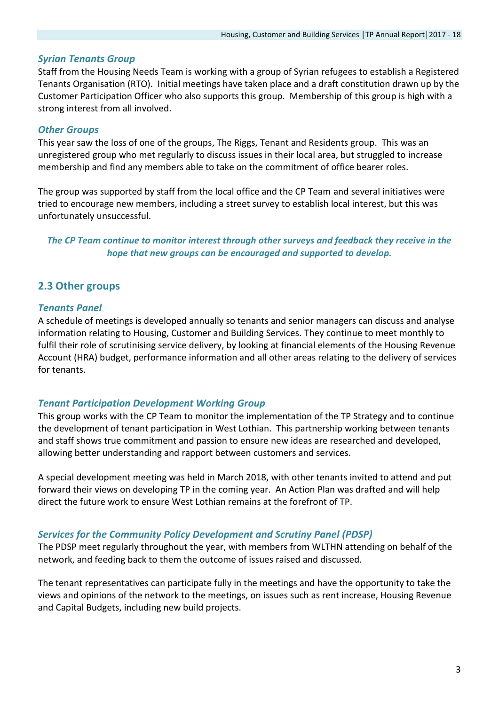#### *Syrian Tenants Group*

Staff from the Housing Needs Team is working with a group of Syrian refugees to establish a Registered Tenants Organisation (RTO). Initial meetings have taken place and a draft constitution drawn up by the Customer Participation Officer who also supports this group. Membership of this group is high with a strong interest from all involved.

### *Other Groups*

This year saw the loss of one of the groups, The Riggs, Tenant and Residents group. This was an unregistered group who met regularly to discuss issues in their local area, but struggled to increase membership and find any members able to take on the commitment of office bearer roles.

The group was supported by staff from the local office and the CP Team and several initiatives were tried to encourage new members, including a street survey to establish local interest, but this was unfortunately unsuccessful.

### *The CP Team continue to monitor interest through other surveys and feedback they receive in the hope that new groups can be encouraged and supported to develop.*

## **2.3 Other groups**

#### *Tenants Panel*

A schedule of meetings is developed annually so tenants and senior managers can discuss and analyse information relating to Housing, Customer and Building Services. They continue to meet monthly to fulfil their role of scrutinising service delivery, by looking at financial elements of the Housing Revenue Account (HRA) budget, performance information and all other areas relating to the delivery of services for tenants.

#### *Tenant Participation Development Working Group*

This group works with the CP Team to monitor the implementation of the TP Strategy and to continue the development of tenant participation in West Lothian. This partnership working between tenants and staff shows true commitment and passion to ensure new ideas are researched and developed, allowing better understanding and rapport between customers and services.

A special development meeting was held in March 2018, with other tenants invited to attend and put forward their views on developing TP in the coming year. An Action Plan was drafted and will help direct the future work to ensure West Lothian remains at the forefront of TP.

## *Services for the Community Policy Development and Scrutiny Panel (PDSP)*

The PDSP meet regularly throughout the year, with members from WLTHN attending on behalf of the network, and feeding back to them the outcome of issues raised and discussed.

The tenant representatives can participate fully in the meetings and have the opportunity to take the views and opinions of the network to the meetings, on issues such as rent increase, Housing Revenue and Capital Budgets, including new build projects.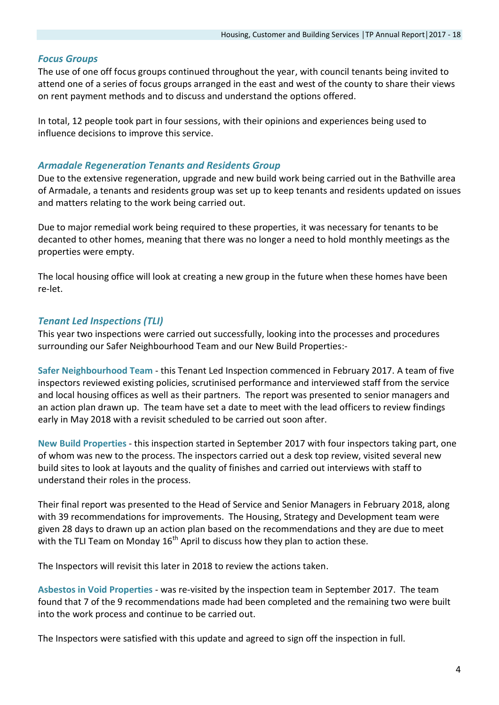## *Focus Groups*

The use of one off focus groups continued throughout the year, with council tenants being invited to attend one of a series of focus groups arranged in the east and west of the county to share their views on rent payment methods and to discuss and understand the options offered.

In total, 12 people took part in four sessions, with their opinions and experiences being used to influence decisions to improve this service.

#### *Armadale Regeneration Tenants and Residents Group*

Due to the extensive regeneration, upgrade and new build work being carried out in the Bathville area of Armadale, a tenants and residents group was set up to keep tenants and residents updated on issues and matters relating to the work being carried out.

Due to major remedial work being required to these properties, it was necessary for tenants to be decanted to other homes, meaning that there was no longer a need to hold monthly meetings as the properties were empty.

The local housing office will look at creating a new group in the future when these homes have been re-let.

## *Tenant Led Inspections (TLI)*

This year two inspections were carried out successfully, looking into the processes and procedures surrounding our Safer Neighbourhood Team and our New Build Properties:-

**Safer Neighbourhood Team** - this Tenant Led Inspection commenced in February 2017. A team of five inspectors reviewed existing policies, scrutinised performance and interviewed staff from the service and local housing offices as well as their partners. The report was presented to senior managers and an action plan drawn up. The team have set a date to meet with the lead officers to review findings early in May 2018 with a revisit scheduled to be carried out soon after.

**New Build Properties** - this inspection started in September 2017 with four inspectors taking part, one of whom was new to the process. The inspectors carried out a desk top review, visited several new build sites to look at layouts and the quality of finishes and carried out interviews with staff to understand their roles in the process.

Their final report was presented to the Head of Service and Senior Managers in February 2018, along with 39 recommendations for improvements. The Housing, Strategy and Development team were given 28 days to drawn up an action plan based on the recommendations and they are due to meet with the TLI Team on Monday  $16<sup>th</sup>$  April to discuss how they plan to action these.

The Inspectors will revisit this later in 2018 to review the actions taken.

**Asbestos in Void Properties** - was re-visited by the inspection team in September 2017. The team found that 7 of the 9 recommendations made had been completed and the remaining two were built into the work process and continue to be carried out.

The Inspectors were satisfied with this update and agreed to sign off the inspection in full.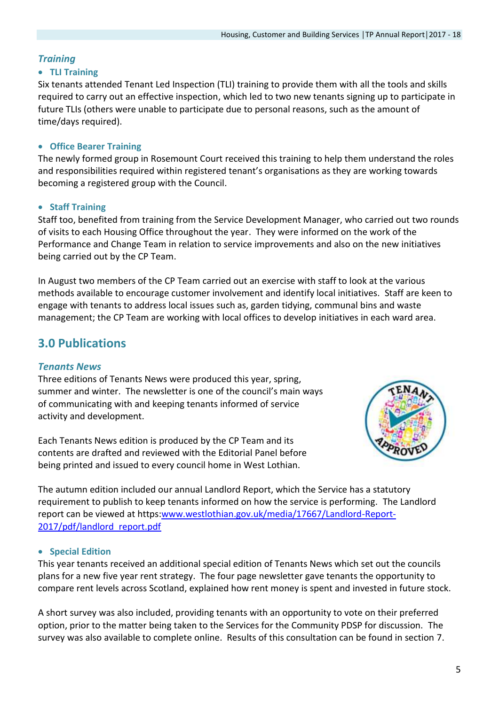## *Training*

#### **TLI Training**

Six tenants attended Tenant Led Inspection (TLI) training to provide them with all the tools and skills required to carry out an effective inspection, which led to two new tenants signing up to participate in future TLIs (others were unable to participate due to personal reasons, such as the amount of time/days required).

#### **Office Bearer Training**

The newly formed group in Rosemount Court received this training to help them understand the roles and responsibilities required within registered tenant's organisations as they are working towards becoming a registered group with the Council.

#### **Staff Training**

Staff too, benefited from training from the Service Development Manager, who carried out two rounds of visits to each Housing Office throughout the year. They were informed on the work of the Performance and Change Team in relation to service improvements and also on the new initiatives being carried out by the CP Team.

In August two members of the CP Team carried out an exercise with staff to look at the various methods available to encourage customer involvement and identify local initiatives. Staff are keen to engage with tenants to address local issues such as, garden tidying, communal bins and waste management; the CP Team are working with local offices to develop initiatives in each ward area.

## **3.0 Publications**

## *Tenants News*

Three editions of Tenants News were produced this year, spring, summer and winter. The newsletter is one of the council's main ways of communicating with and keeping tenants informed of service activity and development.

Each Tenants News edition is produced by the CP Team and its contents are drafted and reviewed with the Editorial Panel before being printed and issued to every council home in West Lothian.



The autumn edition included our annual Landlord Report, which the Service has a statutory requirement to publish to keep tenants informed on how the service is performing. The Landlord report can be viewed at https[:www.westlothian.gov.uk/media/17667/Landlord-Report-](http://www.westlothian.gov.uk/media/17667/Landlord-Report-2017/pdf/landlord_report.pdf)[2017/pdf/landlord\\_report.pdf](http://www.westlothian.gov.uk/media/17667/Landlord-Report-2017/pdf/landlord_report.pdf)

#### **•** Special Edition

This year tenants received an additional special edition of Tenants News which set out the councils plans for a new five year rent strategy. The four page newsletter gave tenants the opportunity to compare rent levels across Scotland, explained how rent money is spent and invested in future stock.

A short survey was also included, providing tenants with an opportunity to vote on their preferred option, prior to the matter being taken to the Services for the Community PDSP for discussion. The survey was also available to complete online. Results of this consultation can be found in section 7.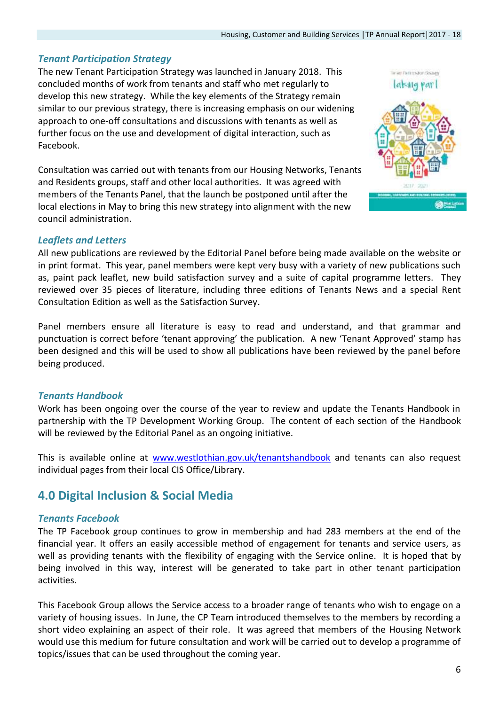### *Tenant Participation Strategy*

The new Tenant Participation Strategy was launched in January 2018. This concluded months of work from tenants and staff who met regularly to develop this new strategy. While the key elements of the Strategy remain similar to our previous strategy, there is increasing emphasis on our widening approach to one-off consultations and discussions with tenants as well as further focus on the use and development of digital interaction, such as Facebook.

Consultation was carried out with tenants from our Housing Networks, Tenants and Residents groups, staff and other local authorities. It was agreed with members of the Tenants Panel, that the launch be postponed until after the local elections in May to bring this new strategy into alignment with the new council administration.

## *Leaflets and Letters*

All new publications are reviewed by the Editorial Panel before being made available on the website or in print format. This year, panel members were kept very busy with a variety of new publications such as, paint pack leaflet, new build satisfaction survey and a suite of capital programme letters. They reviewed over 35 pieces of literature, including three editions of Tenants News and a special Rent Consultation Edition as well as the Satisfaction Survey.

Panel members ensure all literature is easy to read and understand, and that grammar and punctuation is correct before 'tenant approving' the publication. A new 'Tenant Approved' stamp has been designed and this will be used to show all publications have been reviewed by the panel before being produced.

## *Tenants Handbook*

Work has been ongoing over the course of the year to review and update the Tenants Handbook in partnership with the TP Development Working Group. The content of each section of the Handbook will be reviewed by the Editorial Panel as an ongoing initiative.

This is available online at [www.westlothian.gov.uk/tenantshandbook](http://www.westlothian.gov.uk/tenantshandbook) and tenants can also request individual pages from their local CIS Office/Library.

## **4.0 Digital Inclusion & Social Media**

#### *Tenants Facebook*

The TP Facebook group continues to grow in membership and had 283 members at the end of the financial year. It offers an easily accessible method of engagement for tenants and service users, as well as providing tenants with the flexibility of engaging with the Service online. It is hoped that by being involved in this way, interest will be generated to take part in other tenant participation activities.

This Facebook Group allows the Service access to a broader range of tenants who wish to engage on a variety of housing issues. In June, the CP Team introduced themselves to the members by recording a short video explaining an aspect of their role. It was agreed that members of the Housing Network would use this medium for future consultation and work will be carried out to develop a programme of topics/issues that can be used throughout the coming year.

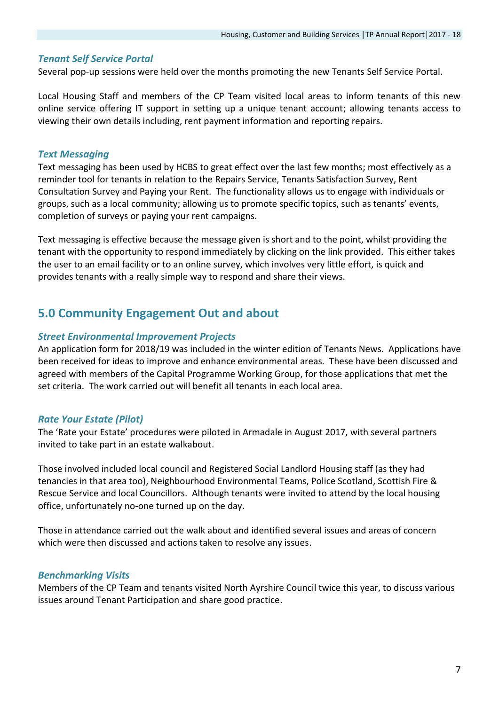#### *Tenant Self Service Portal*

Several pop-up sessions were held over the months promoting the new Tenants Self Service Portal.

Local Housing Staff and members of the CP Team visited local areas to inform tenants of this new online service offering IT support in setting up a unique tenant account; allowing tenants access to viewing their own details including, rent payment information and reporting repairs.

### *Text Messaging*

Text messaging has been used by HCBS to great effect over the last few months; most effectively as a reminder tool for tenants in relation to the Repairs Service, Tenants Satisfaction Survey, Rent Consultation Survey and Paying your Rent. The functionality allows us to engage with individuals or groups, such as a local community; allowing us to promote specific topics, such as tenants' events, completion of surveys or paying your rent campaigns.

Text messaging is effective because the message given is short and to the point, whilst providing the tenant with the opportunity to respond immediately by clicking on the link provided. This either takes the user to an email facility or to an online survey, which involves very little effort, is quick and provides tenants with a really simple way to respond and share their views.

## **5.0 Community Engagement Out and about**

#### *Street Environmental Improvement Projects*

An application form for 2018/19 was included in the winter edition of Tenants News. Applications have been received for ideas to improve and enhance environmental areas. These have been discussed and agreed with members of the Capital Programme Working Group, for those applications that met the set criteria. The work carried out will benefit all tenants in each local area.

## *Rate Your Estate (Pilot)*

The 'Rate your Estate' procedures were piloted in Armadale in August 2017, with several partners invited to take part in an estate walkabout.

Those involved included local council and Registered Social Landlord Housing staff (as they had tenancies in that area too), Neighbourhood Environmental Teams, Police Scotland, Scottish Fire & Rescue Service and local Councillors. Although tenants were invited to attend by the local housing office, unfortunately no-one turned up on the day.

Those in attendance carried out the walk about and identified several issues and areas of concern which were then discussed and actions taken to resolve any issues.

#### *Benchmarking Visits*

Members of the CP Team and tenants visited North Ayrshire Council twice this year, to discuss various issues around Tenant Participation and share good practice.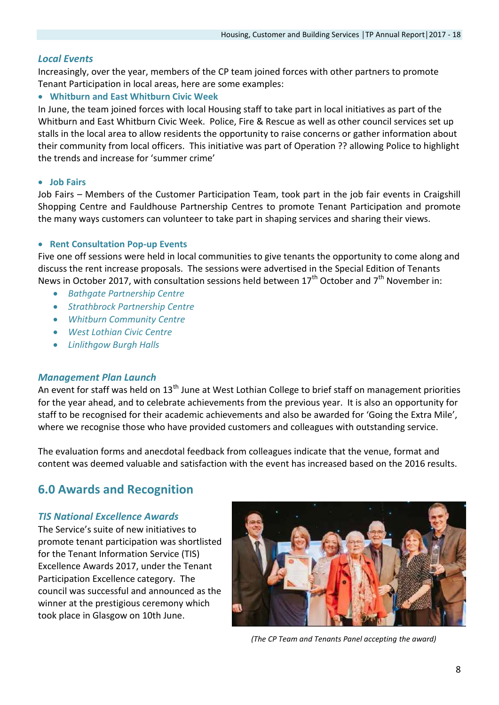#### *Local Events*

Increasingly, over the year, members of the CP team joined forces with other partners to promote Tenant Participation in local areas, here are some examples:

#### **Whitburn and East Whitburn Civic Week**

In June, the team joined forces with local Housing staff to take part in local initiatives as part of the Whitburn and East Whitburn Civic Week. Police, Fire & Rescue as well as other council services set up stalls in the local area to allow residents the opportunity to raise concerns or gather information about their community from local officers. This initiative was part of Operation ?? allowing Police to highlight the trends and increase for 'summer crime'

#### **• Job Fairs**

Job Fairs – Members of the Customer Participation Team, took part in the job fair events in Craigshill Shopping Centre and Fauldhouse Partnership Centres to promote Tenant Participation and promote the many ways customers can volunteer to take part in shaping services and sharing their views.

#### **• Rent Consultation Pop-up Events**

Five one off sessions were held in local communities to give tenants the opportunity to come along and discuss the rent increase proposals. The sessions were advertised in the Special Edition of Tenants News in October 2017, with consultation sessions held between 17<sup>th</sup> October and 7<sup>th</sup> November in:

- *Bathgate Partnership Centre*
- *Strathbrock Partnership Centre*
- *Whitburn Community Centre*
- *West Lothian Civic Centre*
- *Linlithgow Burgh Halls*

#### *Management Plan Launch*

An event for staff was held on  $13<sup>th</sup>$  June at West Lothian College to brief staff on management priorities for the year ahead, and to celebrate achievements from the previous year. It is also an opportunity for staff to be recognised for their academic achievements and also be awarded for 'Going the Extra Mile', where we recognise those who have provided customers and colleagues with outstanding service.

The evaluation forms and anecdotal feedback from colleagues indicate that the venue, format and content was deemed valuable and satisfaction with the event has increased based on the 2016 results.

## **6.0 Awards and Recognition**

#### *TIS National Excellence Awards*

The Service's suite of new initiatives to promote tenant participation was shortlisted for the Tenant Information Service (TIS) Excellence Awards 2017, under the Tenant Participation Excellence category. The council was successful and announced as the winner at the prestigious ceremony which took place in Glasgow on 10th June.



 *(The CP Team and Tenants Panel accepting the award)*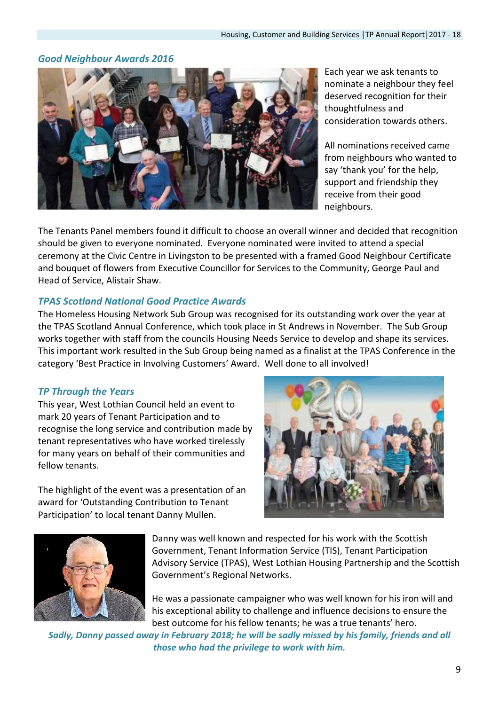## *Good Neighbour Awards 2016*



Each year we ask tenants to nominate a neighbour they feel deserved recognition for their thoughtfulness and consideration towards others.

All nominations received came from neighbours who wanted to say 'thank you' for the help, support and friendship they receive from their good neighbours.

The Tenants Panel members found it difficult to choose an overall winner and decided that recognition should be given to everyone nominated. Everyone nominated were invited to attend a special ceremony at the Civic Centre in Livingston to be presented with a framed Good Neighbour Certificate and bouquet of flowers from Executive Councillor for Services to the Community, George Paul and Head of Service, Alistair Shaw.

## *TPAS Scotland National Good Practice Awards*

The Homeless Housing Network Sub Group was recognised for its outstanding work over the year at the TPAS Scotland Annual Conference, which took place in St Andrews in November. The Sub Group works together with staff from the councils Housing Needs Service to develop and shape its services. This important work resulted in the Sub Group being named as a finalist at the TPAS Conference in the category 'Best Practice in Involving Customers' Award. Well done to all involved!

## *TP Through the Years*

This year, West Lothian Council held an event to mark 20 years of Tenant Participation and to recognise the long service and contribution made by tenant representatives who have worked tirelessly for many years on behalf of their communities and fellow tenants.

The highlight of the event was a presentation of an award for 'Outstanding Contribution to Tenant Participation' to local tenant Danny Mullen.





Danny was well known and respected for his work with the Scottish Government, Tenant Information Service (TIS), Tenant Participation Advisory Service (TPAS), West Lothian Housing Partnership and the Scottish Government's Regional Networks.

He was a passionate campaigner who was well known for his iron will and his exceptional ability to challenge and influence decisions to ensure the best outcome for his fellow tenants; he was a true tenants' hero.

*Sadly, Danny passed away in February 2018; he will be sadly missed by his family, friends and all those who had the privilege to work with him.*